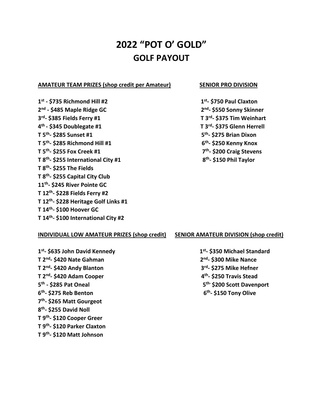# **2022 "POT O' GOLD" GOLF PAYOUT**

# **AMATEUR TEAM PRIZES (shop credit per Amateur) SENIOR PRO DIVISION**

**1 st - \$735 Richmond Hill #2 1 2 nd - \$485 Maple Ridge GC 2 3 rd - \$385 Fields Ferry #1 T 3rd 4 th - \$345 Doublegate #1 T 3rd T 5th - \$285 Sunset #1 5 T 5th - \$285 Richmond Hill #1 6 T 5th - \$255 Fox Creek #1 7 T 8th - \$255 International City #1 8 T 8th - \$255 The Fields T 8th - \$255 Capital City Club 11th - \$245 River Pointe GC T 12th - \$228 Fields Ferry #2 T 12th - \$228 Heritage Golf Links #1 T 14th - \$100 Hoover GC T 14th - \$100 International City #2** 

**st - \$750 Paul Claxton nd - \$550 Sonny Skinner - \$375 Tim Weinhart - \$375 Glenn Herrell th - \$275 Brian Dixon th - \$250 Kenny Knox th - \$200 Craig Stevens th - \$150 Phil Taylor**

## **INDIVIDUAL LOW AMATEUR PRIZES (shop credit) SENIOR AMATEUR DIVISION (shop credit)**

**1 st - \$635 John David Kennedy 1 T 2nd - \$420 Nate Gahman 2 T 2nd - \$420 Andy Blanton 3 T 2nd - \$420 Adam Cooper 4 5 th - \$285 Pat Oneal 5 6 th - \$275 Reb Benton 6 7 th - \$265 Matt Gourgeot 8 th - \$255 David Noll T 9th - \$120 Cooper Greer T 9th - \$120 Parker Claxton T 9th - \$120 Matt Johnson** 

**st - \$350 Michael Standard nd - \$300 Mike Nance rd - \$275 Mike Hefner th - \$250 Travis Stead th- \$200 Scott Davenport th - \$150 Tony Olive**